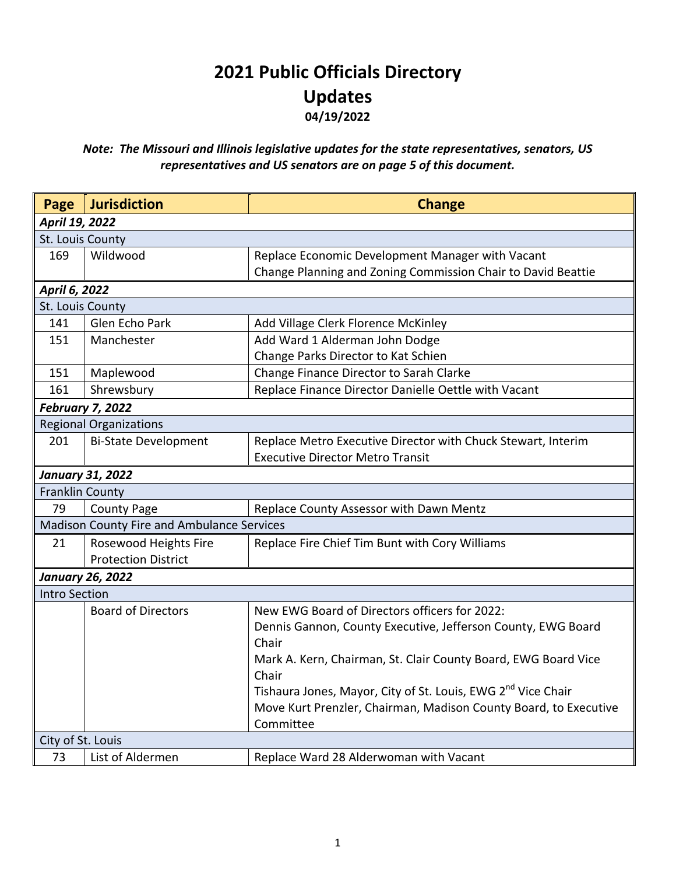## **2021 Public Officials Directory Updates 04/19/2022**

## *Note: The Missouri and Illinois legislative updates for the state representatives, senators, US representatives and US senators are on page 5 of this document.*

| Page                    | <b>Jurisdiction</b>                        | <b>Change</b>                                                            |  |
|-------------------------|--------------------------------------------|--------------------------------------------------------------------------|--|
| April 19, 2022          |                                            |                                                                          |  |
| St. Louis County        |                                            |                                                                          |  |
| 169                     | Wildwood                                   | Replace Economic Development Manager with Vacant                         |  |
|                         |                                            | Change Planning and Zoning Commission Chair to David Beattie             |  |
| April 6, 2022           |                                            |                                                                          |  |
| St. Louis County        |                                            |                                                                          |  |
| 141                     | Glen Echo Park                             | Add Village Clerk Florence McKinley                                      |  |
| 151                     | Manchester                                 | Add Ward 1 Alderman John Dodge                                           |  |
|                         |                                            | Change Parks Director to Kat Schien                                      |  |
| 151                     | Maplewood                                  | Change Finance Director to Sarah Clarke                                  |  |
| 161                     | Shrewsbury                                 | Replace Finance Director Danielle Oettle with Vacant                     |  |
|                         | <b>February 7, 2022</b>                    |                                                                          |  |
|                         | <b>Regional Organizations</b>              |                                                                          |  |
| 201                     | <b>Bi-State Development</b>                | Replace Metro Executive Director with Chuck Stewart, Interim             |  |
|                         |                                            | <b>Executive Director Metro Transit</b>                                  |  |
| <b>January 31, 2022</b> |                                            |                                                                          |  |
| <b>Franklin County</b>  |                                            |                                                                          |  |
| 79                      | <b>County Page</b>                         | Replace County Assessor with Dawn Mentz                                  |  |
|                         | Madison County Fire and Ambulance Services |                                                                          |  |
| 21                      | Rosewood Heights Fire                      | Replace Fire Chief Tim Bunt with Cory Williams                           |  |
|                         | <b>Protection District</b>                 |                                                                          |  |
|                         | <b>January 26, 2022</b>                    |                                                                          |  |
| <b>Intro Section</b>    |                                            |                                                                          |  |
|                         | <b>Board of Directors</b>                  | New EWG Board of Directors officers for 2022:                            |  |
|                         |                                            | Dennis Gannon, County Executive, Jefferson County, EWG Board             |  |
|                         |                                            | Chair                                                                    |  |
|                         |                                            | Mark A. Kern, Chairman, St. Clair County Board, EWG Board Vice           |  |
|                         |                                            | Chair                                                                    |  |
|                         |                                            | Tishaura Jones, Mayor, City of St. Louis, EWG 2 <sup>nd</sup> Vice Chair |  |
|                         |                                            | Move Kurt Prenzler, Chairman, Madison County Board, to Executive         |  |
|                         |                                            | Committee                                                                |  |
| City of St. Louis       |                                            |                                                                          |  |
| 73                      | List of Aldermen                           | Replace Ward 28 Alderwoman with Vacant                                   |  |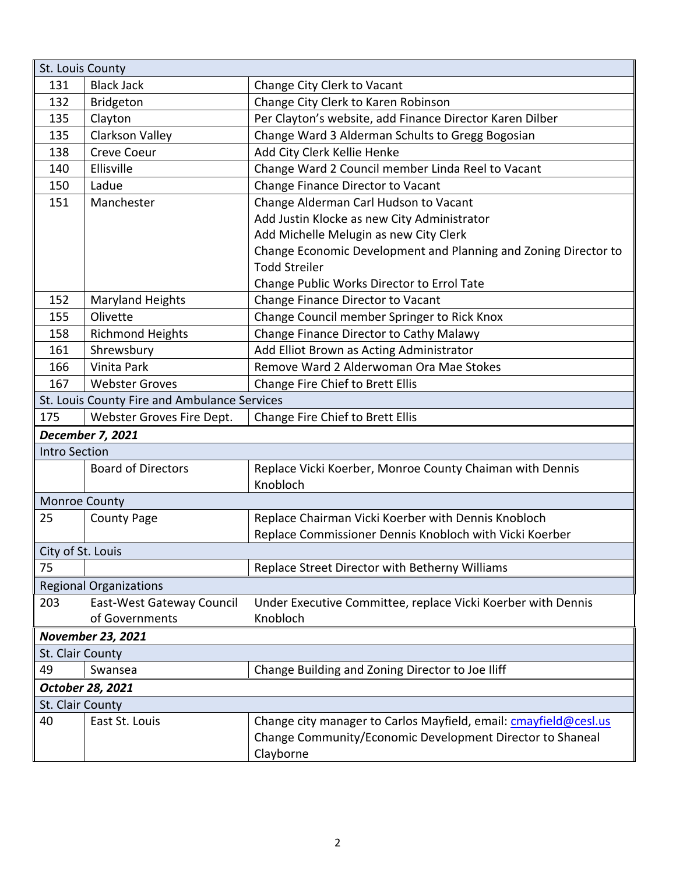| St. Louis County                             |                           |                                                                  |  |
|----------------------------------------------|---------------------------|------------------------------------------------------------------|--|
| 131                                          | <b>Black Jack</b>         | Change City Clerk to Vacant                                      |  |
| 132                                          | <b>Bridgeton</b>          | Change City Clerk to Karen Robinson                              |  |
| 135                                          | Clayton                   | Per Clayton's website, add Finance Director Karen Dilber         |  |
| 135                                          | Clarkson Valley           | Change Ward 3 Alderman Schults to Gregg Bogosian                 |  |
| 138                                          | <b>Creve Coeur</b>        | Add City Clerk Kellie Henke                                      |  |
| 140                                          | Ellisville                | Change Ward 2 Council member Linda Reel to Vacant                |  |
| 150                                          | Ladue                     | Change Finance Director to Vacant                                |  |
| 151                                          | Manchester                | Change Alderman Carl Hudson to Vacant                            |  |
|                                              |                           | Add Justin Klocke as new City Administrator                      |  |
|                                              |                           | Add Michelle Melugin as new City Clerk                           |  |
|                                              |                           | Change Economic Development and Planning and Zoning Director to  |  |
|                                              |                           | <b>Todd Streiler</b>                                             |  |
|                                              |                           | Change Public Works Director to Errol Tate                       |  |
| 152                                          | <b>Maryland Heights</b>   | Change Finance Director to Vacant                                |  |
| 155                                          | Olivette                  | Change Council member Springer to Rick Knox                      |  |
| 158                                          | <b>Richmond Heights</b>   | Change Finance Director to Cathy Malawy                          |  |
| 161                                          | Shrewsbury                | Add Elliot Brown as Acting Administrator                         |  |
| 166                                          | Vinita Park               | Remove Ward 2 Alderwoman Ora Mae Stokes                          |  |
| 167                                          | <b>Webster Groves</b>     | Change Fire Chief to Brett Ellis                                 |  |
| St. Louis County Fire and Ambulance Services |                           |                                                                  |  |
| 175                                          | Webster Groves Fire Dept. | Change Fire Chief to Brett Ellis                                 |  |
| December 7, 2021                             |                           |                                                                  |  |
| <b>Intro Section</b>                         |                           |                                                                  |  |
|                                              | <b>Board of Directors</b> | Replace Vicki Koerber, Monroe County Chaiman with Dennis         |  |
|                                              |                           | Knobloch                                                         |  |
| Monroe County                                |                           |                                                                  |  |
| 25                                           | <b>County Page</b>        | Replace Chairman Vicki Koerber with Dennis Knobloch              |  |
|                                              |                           | Replace Commissioner Dennis Knobloch with Vicki Koerber          |  |
| City of St. Louis                            |                           |                                                                  |  |
| 75                                           |                           | Replace Street Director with Betherny Williams                   |  |
| <b>Regional Organizations</b>                |                           |                                                                  |  |
| 203                                          | East-West Gateway Council | Under Executive Committee, replace Vicki Koerber with Dennis     |  |
|                                              | of Governments            | Knobloch                                                         |  |
| <b>November 23, 2021</b>                     |                           |                                                                  |  |
| St. Clair County                             |                           |                                                                  |  |
| 49                                           | Swansea                   | Change Building and Zoning Director to Joe Iliff                 |  |
| October 28, 2021                             |                           |                                                                  |  |
| St. Clair County                             |                           |                                                                  |  |
| 40                                           | East St. Louis            | Change city manager to Carlos Mayfield, email: cmayfield@cesl.us |  |
|                                              |                           | Change Community/Economic Development Director to Shaneal        |  |
|                                              |                           | Clayborne                                                        |  |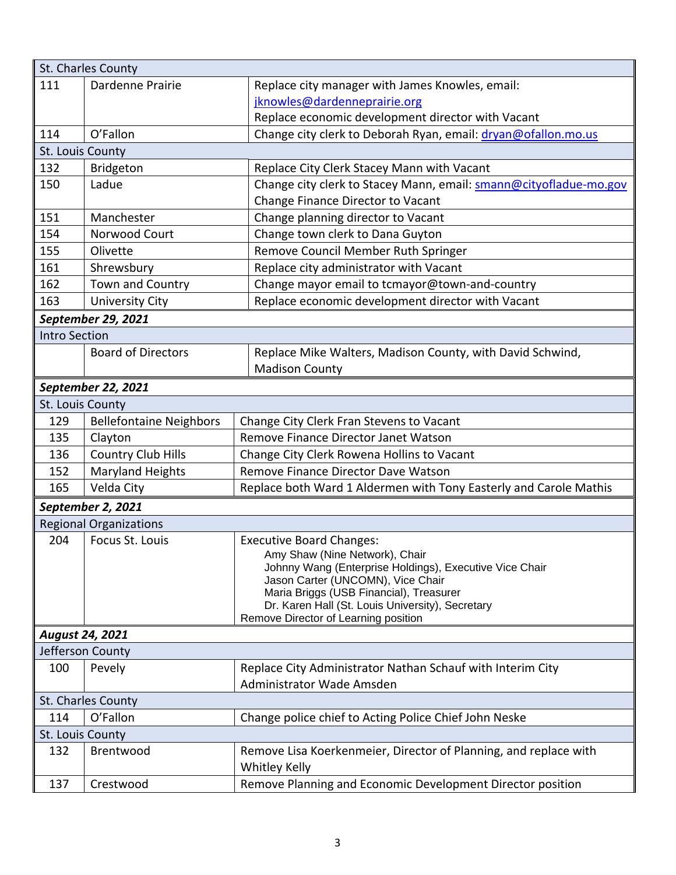| 111<br>Dardenne Prairie<br>Replace city manager with James Knowles, email:<br>jknowles@dardenneprairie.org<br>Replace economic development director with Vacant<br>O'Fallon<br>Change city clerk to Deborah Ryan, email: dryan@ofallon.mo.us<br>114<br>St. Louis County<br>132<br>Bridgeton<br>Replace City Clerk Stacey Mann with Vacant<br>150<br>Ladue<br>Change city clerk to Stacey Mann, email: smann@cityofladue-mo.gov<br>Change Finance Director to Vacant<br>151<br>Manchester<br>Change planning director to Vacant<br>Change town clerk to Dana Guyton<br>154<br>Norwood Court<br>155<br>Remove Council Member Ruth Springer<br>Olivette<br>Replace city administrator with Vacant<br>161<br>Shrewsbury<br>162<br>Town and Country<br>Change mayor email to tcmayor@town-and-country<br>Replace economic development director with Vacant<br><b>University City</b><br>163<br>September 29, 2021<br><b>Intro Section</b><br><b>Board of Directors</b><br>Replace Mike Walters, Madison County, with David Schwind,<br><b>Madison County</b><br>September 22, 2021<br>St. Louis County<br>129<br><b>Bellefontaine Neighbors</b><br>Change City Clerk Fran Stevens to Vacant<br>Remove Finance Director Janet Watson<br>135<br>Clayton<br>136<br><b>Country Club Hills</b><br>Change City Clerk Rowena Hollins to Vacant<br>Maryland Heights<br>152<br>Remove Finance Director Dave Watson<br>165<br>Velda City<br>Replace both Ward 1 Aldermen with Tony Easterly and Carole Mathis<br>September 2, 2021<br><b>Regional Organizations</b><br>204<br>Focus St. Louis<br><b>Executive Board Changes:</b><br>Amy Shaw (Nine Network), Chair<br>Johnny Wang (Enterprise Holdings), Executive Vice Chair<br>Jason Carter (UNCOMN), Vice Chair<br>Maria Briggs (USB Financial), Treasurer<br>Dr. Karen Hall (St. Louis University), Secretary<br>Remove Director of Learning position<br><b>August 24, 2021</b> | St. Charles County |  |  |  |  |
|----------------------------------------------------------------------------------------------------------------------------------------------------------------------------------------------------------------------------------------------------------------------------------------------------------------------------------------------------------------------------------------------------------------------------------------------------------------------------------------------------------------------------------------------------------------------------------------------------------------------------------------------------------------------------------------------------------------------------------------------------------------------------------------------------------------------------------------------------------------------------------------------------------------------------------------------------------------------------------------------------------------------------------------------------------------------------------------------------------------------------------------------------------------------------------------------------------------------------------------------------------------------------------------------------------------------------------------------------------------------------------------------------------------------------------------------------------------------------------------------------------------------------------------------------------------------------------------------------------------------------------------------------------------------------------------------------------------------------------------------------------------------------------------------------------------------------------------------------------------------------------------------------------------------|--------------------|--|--|--|--|
|                                                                                                                                                                                                                                                                                                                                                                                                                                                                                                                                                                                                                                                                                                                                                                                                                                                                                                                                                                                                                                                                                                                                                                                                                                                                                                                                                                                                                                                                                                                                                                                                                                                                                                                                                                                                                                                                                                                      |                    |  |  |  |  |
|                                                                                                                                                                                                                                                                                                                                                                                                                                                                                                                                                                                                                                                                                                                                                                                                                                                                                                                                                                                                                                                                                                                                                                                                                                                                                                                                                                                                                                                                                                                                                                                                                                                                                                                                                                                                                                                                                                                      |                    |  |  |  |  |
|                                                                                                                                                                                                                                                                                                                                                                                                                                                                                                                                                                                                                                                                                                                                                                                                                                                                                                                                                                                                                                                                                                                                                                                                                                                                                                                                                                                                                                                                                                                                                                                                                                                                                                                                                                                                                                                                                                                      |                    |  |  |  |  |
|                                                                                                                                                                                                                                                                                                                                                                                                                                                                                                                                                                                                                                                                                                                                                                                                                                                                                                                                                                                                                                                                                                                                                                                                                                                                                                                                                                                                                                                                                                                                                                                                                                                                                                                                                                                                                                                                                                                      |                    |  |  |  |  |
|                                                                                                                                                                                                                                                                                                                                                                                                                                                                                                                                                                                                                                                                                                                                                                                                                                                                                                                                                                                                                                                                                                                                                                                                                                                                                                                                                                                                                                                                                                                                                                                                                                                                                                                                                                                                                                                                                                                      |                    |  |  |  |  |
|                                                                                                                                                                                                                                                                                                                                                                                                                                                                                                                                                                                                                                                                                                                                                                                                                                                                                                                                                                                                                                                                                                                                                                                                                                                                                                                                                                                                                                                                                                                                                                                                                                                                                                                                                                                                                                                                                                                      |                    |  |  |  |  |
|                                                                                                                                                                                                                                                                                                                                                                                                                                                                                                                                                                                                                                                                                                                                                                                                                                                                                                                                                                                                                                                                                                                                                                                                                                                                                                                                                                                                                                                                                                                                                                                                                                                                                                                                                                                                                                                                                                                      |                    |  |  |  |  |
|                                                                                                                                                                                                                                                                                                                                                                                                                                                                                                                                                                                                                                                                                                                                                                                                                                                                                                                                                                                                                                                                                                                                                                                                                                                                                                                                                                                                                                                                                                                                                                                                                                                                                                                                                                                                                                                                                                                      |                    |  |  |  |  |
|                                                                                                                                                                                                                                                                                                                                                                                                                                                                                                                                                                                                                                                                                                                                                                                                                                                                                                                                                                                                                                                                                                                                                                                                                                                                                                                                                                                                                                                                                                                                                                                                                                                                                                                                                                                                                                                                                                                      |                    |  |  |  |  |
|                                                                                                                                                                                                                                                                                                                                                                                                                                                                                                                                                                                                                                                                                                                                                                                                                                                                                                                                                                                                                                                                                                                                                                                                                                                                                                                                                                                                                                                                                                                                                                                                                                                                                                                                                                                                                                                                                                                      |                    |  |  |  |  |
|                                                                                                                                                                                                                                                                                                                                                                                                                                                                                                                                                                                                                                                                                                                                                                                                                                                                                                                                                                                                                                                                                                                                                                                                                                                                                                                                                                                                                                                                                                                                                                                                                                                                                                                                                                                                                                                                                                                      |                    |  |  |  |  |
|                                                                                                                                                                                                                                                                                                                                                                                                                                                                                                                                                                                                                                                                                                                                                                                                                                                                                                                                                                                                                                                                                                                                                                                                                                                                                                                                                                                                                                                                                                                                                                                                                                                                                                                                                                                                                                                                                                                      |                    |  |  |  |  |
|                                                                                                                                                                                                                                                                                                                                                                                                                                                                                                                                                                                                                                                                                                                                                                                                                                                                                                                                                                                                                                                                                                                                                                                                                                                                                                                                                                                                                                                                                                                                                                                                                                                                                                                                                                                                                                                                                                                      |                    |  |  |  |  |
|                                                                                                                                                                                                                                                                                                                                                                                                                                                                                                                                                                                                                                                                                                                                                                                                                                                                                                                                                                                                                                                                                                                                                                                                                                                                                                                                                                                                                                                                                                                                                                                                                                                                                                                                                                                                                                                                                                                      |                    |  |  |  |  |
|                                                                                                                                                                                                                                                                                                                                                                                                                                                                                                                                                                                                                                                                                                                                                                                                                                                                                                                                                                                                                                                                                                                                                                                                                                                                                                                                                                                                                                                                                                                                                                                                                                                                                                                                                                                                                                                                                                                      |                    |  |  |  |  |
|                                                                                                                                                                                                                                                                                                                                                                                                                                                                                                                                                                                                                                                                                                                                                                                                                                                                                                                                                                                                                                                                                                                                                                                                                                                                                                                                                                                                                                                                                                                                                                                                                                                                                                                                                                                                                                                                                                                      |                    |  |  |  |  |
|                                                                                                                                                                                                                                                                                                                                                                                                                                                                                                                                                                                                                                                                                                                                                                                                                                                                                                                                                                                                                                                                                                                                                                                                                                                                                                                                                                                                                                                                                                                                                                                                                                                                                                                                                                                                                                                                                                                      |                    |  |  |  |  |
|                                                                                                                                                                                                                                                                                                                                                                                                                                                                                                                                                                                                                                                                                                                                                                                                                                                                                                                                                                                                                                                                                                                                                                                                                                                                                                                                                                                                                                                                                                                                                                                                                                                                                                                                                                                                                                                                                                                      |                    |  |  |  |  |
|                                                                                                                                                                                                                                                                                                                                                                                                                                                                                                                                                                                                                                                                                                                                                                                                                                                                                                                                                                                                                                                                                                                                                                                                                                                                                                                                                                                                                                                                                                                                                                                                                                                                                                                                                                                                                                                                                                                      |                    |  |  |  |  |
|                                                                                                                                                                                                                                                                                                                                                                                                                                                                                                                                                                                                                                                                                                                                                                                                                                                                                                                                                                                                                                                                                                                                                                                                                                                                                                                                                                                                                                                                                                                                                                                                                                                                                                                                                                                                                                                                                                                      |                    |  |  |  |  |
|                                                                                                                                                                                                                                                                                                                                                                                                                                                                                                                                                                                                                                                                                                                                                                                                                                                                                                                                                                                                                                                                                                                                                                                                                                                                                                                                                                                                                                                                                                                                                                                                                                                                                                                                                                                                                                                                                                                      |                    |  |  |  |  |
|                                                                                                                                                                                                                                                                                                                                                                                                                                                                                                                                                                                                                                                                                                                                                                                                                                                                                                                                                                                                                                                                                                                                                                                                                                                                                                                                                                                                                                                                                                                                                                                                                                                                                                                                                                                                                                                                                                                      |                    |  |  |  |  |
|                                                                                                                                                                                                                                                                                                                                                                                                                                                                                                                                                                                                                                                                                                                                                                                                                                                                                                                                                                                                                                                                                                                                                                                                                                                                                                                                                                                                                                                                                                                                                                                                                                                                                                                                                                                                                                                                                                                      |                    |  |  |  |  |
|                                                                                                                                                                                                                                                                                                                                                                                                                                                                                                                                                                                                                                                                                                                                                                                                                                                                                                                                                                                                                                                                                                                                                                                                                                                                                                                                                                                                                                                                                                                                                                                                                                                                                                                                                                                                                                                                                                                      |                    |  |  |  |  |
|                                                                                                                                                                                                                                                                                                                                                                                                                                                                                                                                                                                                                                                                                                                                                                                                                                                                                                                                                                                                                                                                                                                                                                                                                                                                                                                                                                                                                                                                                                                                                                                                                                                                                                                                                                                                                                                                                                                      |                    |  |  |  |  |
|                                                                                                                                                                                                                                                                                                                                                                                                                                                                                                                                                                                                                                                                                                                                                                                                                                                                                                                                                                                                                                                                                                                                                                                                                                                                                                                                                                                                                                                                                                                                                                                                                                                                                                                                                                                                                                                                                                                      |                    |  |  |  |  |
|                                                                                                                                                                                                                                                                                                                                                                                                                                                                                                                                                                                                                                                                                                                                                                                                                                                                                                                                                                                                                                                                                                                                                                                                                                                                                                                                                                                                                                                                                                                                                                                                                                                                                                                                                                                                                                                                                                                      |                    |  |  |  |  |
|                                                                                                                                                                                                                                                                                                                                                                                                                                                                                                                                                                                                                                                                                                                                                                                                                                                                                                                                                                                                                                                                                                                                                                                                                                                                                                                                                                                                                                                                                                                                                                                                                                                                                                                                                                                                                                                                                                                      |                    |  |  |  |  |
|                                                                                                                                                                                                                                                                                                                                                                                                                                                                                                                                                                                                                                                                                                                                                                                                                                                                                                                                                                                                                                                                                                                                                                                                                                                                                                                                                                                                                                                                                                                                                                                                                                                                                                                                                                                                                                                                                                                      |                    |  |  |  |  |
|                                                                                                                                                                                                                                                                                                                                                                                                                                                                                                                                                                                                                                                                                                                                                                                                                                                                                                                                                                                                                                                                                                                                                                                                                                                                                                                                                                                                                                                                                                                                                                                                                                                                                                                                                                                                                                                                                                                      |                    |  |  |  |  |
|                                                                                                                                                                                                                                                                                                                                                                                                                                                                                                                                                                                                                                                                                                                                                                                                                                                                                                                                                                                                                                                                                                                                                                                                                                                                                                                                                                                                                                                                                                                                                                                                                                                                                                                                                                                                                                                                                                                      |                    |  |  |  |  |
|                                                                                                                                                                                                                                                                                                                                                                                                                                                                                                                                                                                                                                                                                                                                                                                                                                                                                                                                                                                                                                                                                                                                                                                                                                                                                                                                                                                                                                                                                                                                                                                                                                                                                                                                                                                                                                                                                                                      |                    |  |  |  |  |
|                                                                                                                                                                                                                                                                                                                                                                                                                                                                                                                                                                                                                                                                                                                                                                                                                                                                                                                                                                                                                                                                                                                                                                                                                                                                                                                                                                                                                                                                                                                                                                                                                                                                                                                                                                                                                                                                                                                      |                    |  |  |  |  |
|                                                                                                                                                                                                                                                                                                                                                                                                                                                                                                                                                                                                                                                                                                                                                                                                                                                                                                                                                                                                                                                                                                                                                                                                                                                                                                                                                                                                                                                                                                                                                                                                                                                                                                                                                                                                                                                                                                                      |                    |  |  |  |  |
| Jefferson County                                                                                                                                                                                                                                                                                                                                                                                                                                                                                                                                                                                                                                                                                                                                                                                                                                                                                                                                                                                                                                                                                                                                                                                                                                                                                                                                                                                                                                                                                                                                                                                                                                                                                                                                                                                                                                                                                                     |                    |  |  |  |  |
| 100<br>Pevely<br>Replace City Administrator Nathan Schauf with Interim City                                                                                                                                                                                                                                                                                                                                                                                                                                                                                                                                                                                                                                                                                                                                                                                                                                                                                                                                                                                                                                                                                                                                                                                                                                                                                                                                                                                                                                                                                                                                                                                                                                                                                                                                                                                                                                          |                    |  |  |  |  |
| Administrator Wade Amsden                                                                                                                                                                                                                                                                                                                                                                                                                                                                                                                                                                                                                                                                                                                                                                                                                                                                                                                                                                                                                                                                                                                                                                                                                                                                                                                                                                                                                                                                                                                                                                                                                                                                                                                                                                                                                                                                                            |                    |  |  |  |  |
| St. Charles County                                                                                                                                                                                                                                                                                                                                                                                                                                                                                                                                                                                                                                                                                                                                                                                                                                                                                                                                                                                                                                                                                                                                                                                                                                                                                                                                                                                                                                                                                                                                                                                                                                                                                                                                                                                                                                                                                                   |                    |  |  |  |  |
| O'Fallon<br>Change police chief to Acting Police Chief John Neske<br>114                                                                                                                                                                                                                                                                                                                                                                                                                                                                                                                                                                                                                                                                                                                                                                                                                                                                                                                                                                                                                                                                                                                                                                                                                                                                                                                                                                                                                                                                                                                                                                                                                                                                                                                                                                                                                                             |                    |  |  |  |  |
| St. Louis County                                                                                                                                                                                                                                                                                                                                                                                                                                                                                                                                                                                                                                                                                                                                                                                                                                                                                                                                                                                                                                                                                                                                                                                                                                                                                                                                                                                                                                                                                                                                                                                                                                                                                                                                                                                                                                                                                                     |                    |  |  |  |  |
| 132<br>Brentwood<br>Remove Lisa Koerkenmeier, Director of Planning, and replace with<br><b>Whitley Kelly</b>                                                                                                                                                                                                                                                                                                                                                                                                                                                                                                                                                                                                                                                                                                                                                                                                                                                                                                                                                                                                                                                                                                                                                                                                                                                                                                                                                                                                                                                                                                                                                                                                                                                                                                                                                                                                         |                    |  |  |  |  |
| Remove Planning and Economic Development Director position<br>137<br>Crestwood                                                                                                                                                                                                                                                                                                                                                                                                                                                                                                                                                                                                                                                                                                                                                                                                                                                                                                                                                                                                                                                                                                                                                                                                                                                                                                                                                                                                                                                                                                                                                                                                                                                                                                                                                                                                                                       |                    |  |  |  |  |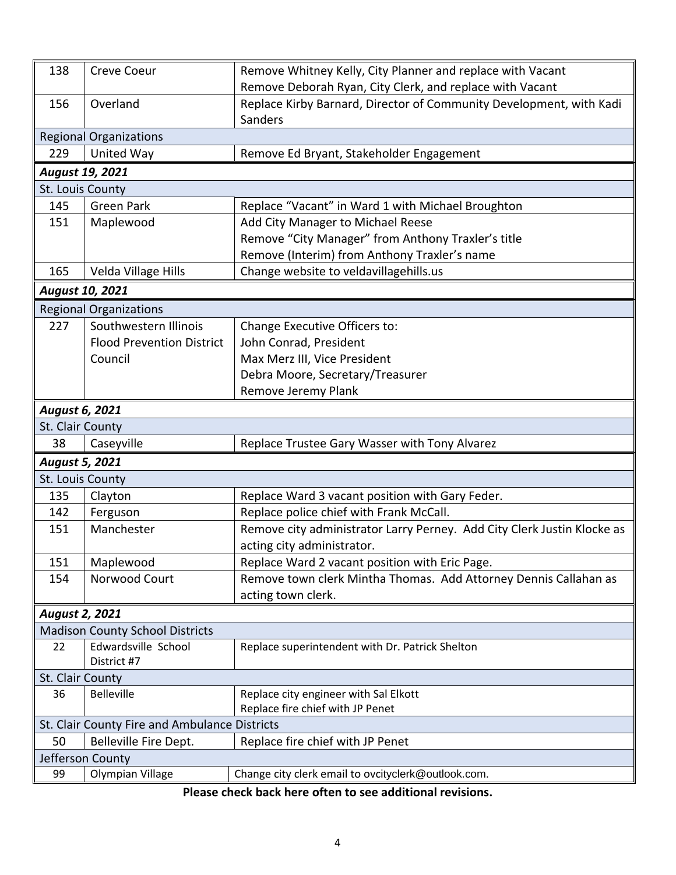| 138                   | <b>Creve Coeur</b>                            | Remove Whitney Kelly, City Planner and replace with Vacant              |  |  |
|-----------------------|-----------------------------------------------|-------------------------------------------------------------------------|--|--|
|                       |                                               | Remove Deborah Ryan, City Clerk, and replace with Vacant                |  |  |
| 156                   | Overland                                      | Replace Kirby Barnard, Director of Community Development, with Kadi     |  |  |
|                       |                                               | Sanders                                                                 |  |  |
|                       | <b>Regional Organizations</b>                 |                                                                         |  |  |
| 229                   | United Way                                    | Remove Ed Bryant, Stakeholder Engagement                                |  |  |
|                       | <b>August 19, 2021</b>                        |                                                                         |  |  |
| St. Louis County      |                                               |                                                                         |  |  |
| 145                   | <b>Green Park</b>                             | Replace "Vacant" in Ward 1 with Michael Broughton                       |  |  |
| 151                   | Maplewood                                     | Add City Manager to Michael Reese                                       |  |  |
|                       |                                               | Remove "City Manager" from Anthony Traxler's title                      |  |  |
|                       |                                               | Remove (Interim) from Anthony Traxler's name                            |  |  |
| 165                   | Velda Village Hills                           | Change website to veldavillagehills.us                                  |  |  |
|                       | <b>August 10, 2021</b>                        |                                                                         |  |  |
|                       | <b>Regional Organizations</b>                 |                                                                         |  |  |
| 227                   | Southwestern Illinois                         | Change Executive Officers to:                                           |  |  |
|                       | <b>Flood Prevention District</b>              | John Conrad, President                                                  |  |  |
|                       | Council                                       | Max Merz III, Vice President                                            |  |  |
|                       |                                               | Debra Moore, Secretary/Treasurer                                        |  |  |
|                       |                                               | Remove Jeremy Plank                                                     |  |  |
|                       | August 6, 2021                                |                                                                         |  |  |
| St. Clair County      |                                               |                                                                         |  |  |
| 38                    | Caseyville                                    | Replace Trustee Gary Wasser with Tony Alvarez                           |  |  |
| <b>August 5, 2021</b> |                                               |                                                                         |  |  |
| St. Louis County      |                                               |                                                                         |  |  |
| 135                   | Clayton                                       | Replace Ward 3 vacant position with Gary Feder.                         |  |  |
| 142                   | Ferguson                                      | Replace police chief with Frank McCall.                                 |  |  |
| 151                   | Manchester                                    | Remove city administrator Larry Perney. Add City Clerk Justin Klocke as |  |  |
|                       |                                               | acting city administrator.                                              |  |  |
| 151                   | Maplewood                                     | Replace Ward 2 vacant position with Eric Page.                          |  |  |
| 154                   | Norwood Court                                 | Remove town clerk Mintha Thomas. Add Attorney Dennis Callahan as        |  |  |
|                       |                                               | acting town clerk.                                                      |  |  |
| <b>August 2, 2021</b> |                                               |                                                                         |  |  |
|                       | <b>Madison County School Districts</b>        |                                                                         |  |  |
| 22                    | Edwardsville School                           | Replace superintendent with Dr. Patrick Shelton                         |  |  |
|                       | District #7                                   |                                                                         |  |  |
| St. Clair County      |                                               |                                                                         |  |  |
| 36                    | <b>Belleville</b>                             | Replace city engineer with Sal Elkott                                   |  |  |
|                       |                                               | Replace fire chief with JP Penet                                        |  |  |
|                       | St. Clair County Fire and Ambulance Districts |                                                                         |  |  |
| 50                    | Belleville Fire Dept.                         | Replace fire chief with JP Penet                                        |  |  |
|                       | Jefferson County                              |                                                                         |  |  |
| 99                    | Olympian Village                              | Change city clerk email to ovcityclerk@outlook.com.                     |  |  |

**Please check back here often to see additional revisions.**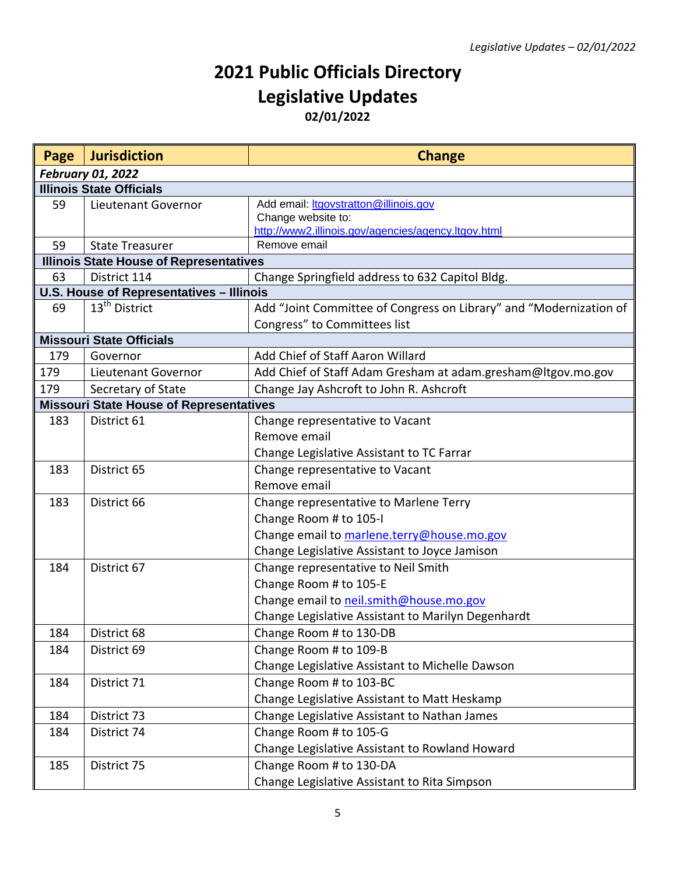## **2021 Public Officials Directory Legislative Updates 02/01/2022**

| Page | <b>Jurisdiction</b>                                                      | <b>Change</b>                                                       |  |
|------|--------------------------------------------------------------------------|---------------------------------------------------------------------|--|
|      | <b>February 01, 2022</b>                                                 |                                                                     |  |
|      | <b>Illinois State Officials</b>                                          |                                                                     |  |
| 59   | Lieutenant Governor                                                      | Add email: <i>Itgovstratton@illinois.gov</i>                        |  |
|      |                                                                          | Change website to:                                                  |  |
|      |                                                                          | http://www2.illinois.gov/agencies/agency.ltgov.html<br>Remove email |  |
| 59   | <b>State Treasurer</b><br><b>Illinois State House of Representatives</b> |                                                                     |  |
| 63   | District 114                                                             | Change Springfield address to 632 Capitol Bldg.                     |  |
|      | U.S. House of Representatives - Illinois                                 |                                                                     |  |
| 69   | 13 <sup>th</sup> District                                                | Add "Joint Committee of Congress on Library" and "Modernization of  |  |
|      |                                                                          | Congress" to Committees list                                        |  |
|      | <b>Missouri State Officials</b>                                          |                                                                     |  |
| 179  | Governor                                                                 | Add Chief of Staff Aaron Willard                                    |  |
| 179  | Lieutenant Governor                                                      | Add Chief of Staff Adam Gresham at adam.gresham@Itgov.mo.gov        |  |
| 179  | Secretary of State                                                       | Change Jay Ashcroft to John R. Ashcroft                             |  |
|      | <b>Missouri State House of Representatives</b>                           |                                                                     |  |
| 183  | District 61                                                              | Change representative to Vacant                                     |  |
|      |                                                                          | Remove email                                                        |  |
|      |                                                                          | Change Legislative Assistant to TC Farrar                           |  |
| 183  | District 65                                                              | Change representative to Vacant                                     |  |
|      |                                                                          | Remove email                                                        |  |
| 183  | District 66                                                              | Change representative to Marlene Terry                              |  |
|      |                                                                          | Change Room # to 105-I                                              |  |
|      |                                                                          | Change email to marlene.terry@house.mo.gov                          |  |
|      |                                                                          | Change Legislative Assistant to Joyce Jamison                       |  |
| 184  | District 67                                                              | Change representative to Neil Smith                                 |  |
|      |                                                                          | Change Room # to 105-E                                              |  |
|      |                                                                          | Change email to neil.smith@house.mo.gov                             |  |
|      |                                                                          | Change Legislative Assistant to Marilyn Degenhardt                  |  |
| 184  |                                                                          |                                                                     |  |
|      | District 68                                                              | Change Room # to 130-DB                                             |  |
| 184  | District 69                                                              | Change Room # to 109-B                                              |  |
|      |                                                                          | Change Legislative Assistant to Michelle Dawson                     |  |
| 184  | District 71                                                              | Change Room # to 103-BC                                             |  |
|      |                                                                          | Change Legislative Assistant to Matt Heskamp                        |  |
| 184  | District 73                                                              | Change Legislative Assistant to Nathan James                        |  |
| 184  | District 74                                                              | Change Room # to 105-G                                              |  |
|      |                                                                          | Change Legislative Assistant to Rowland Howard                      |  |
| 185  | District 75                                                              | Change Room # to 130-DA                                             |  |
|      |                                                                          | Change Legislative Assistant to Rita Simpson                        |  |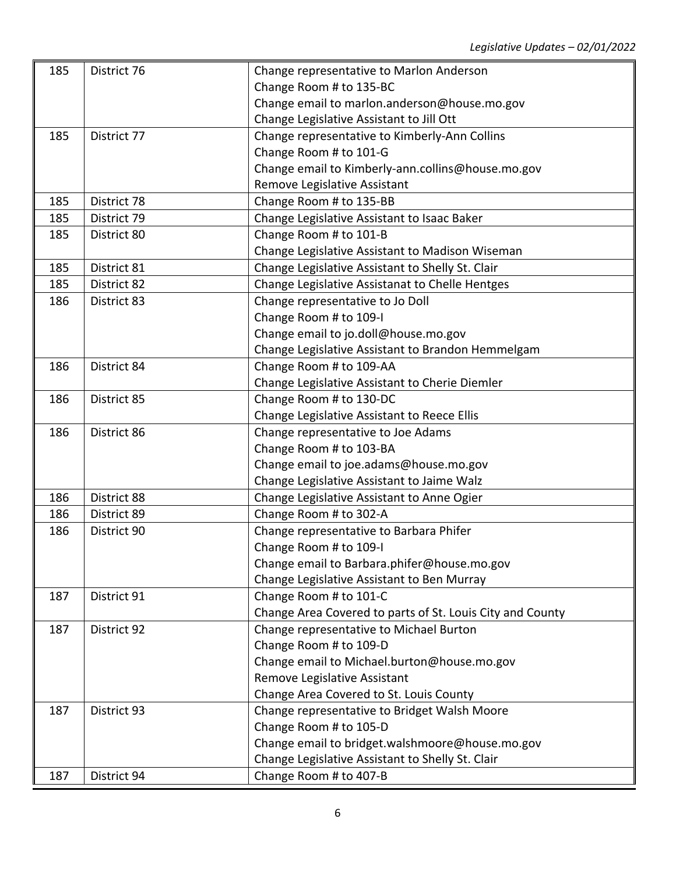| 185 | District 76 | Change representative to Marlon Anderson                  |
|-----|-------------|-----------------------------------------------------------|
|     |             | Change Room # to 135-BC                                   |
|     |             | Change email to marlon.anderson@house.mo.gov              |
|     |             | Change Legislative Assistant to Jill Ott                  |
| 185 | District 77 | Change representative to Kimberly-Ann Collins             |
|     |             | Change Room # to 101-G                                    |
|     |             | Change email to Kimberly-ann.collins@house.mo.gov         |
|     |             | Remove Legislative Assistant                              |
| 185 | District 78 | Change Room # to 135-BB                                   |
| 185 | District 79 | Change Legislative Assistant to Isaac Baker               |
| 185 | District 80 | Change Room # to 101-B                                    |
|     |             | Change Legislative Assistant to Madison Wiseman           |
| 185 | District 81 | Change Legislative Assistant to Shelly St. Clair          |
| 185 | District 82 | Change Legislative Assistanat to Chelle Hentges           |
| 186 | District 83 | Change representative to Jo Doll                          |
|     |             | Change Room # to 109-I                                    |
|     |             | Change email to jo.doll@house.mo.gov                      |
|     |             | Change Legislative Assistant to Brandon Hemmelgam         |
| 186 | District 84 | Change Room # to 109-AA                                   |
|     |             | Change Legislative Assistant to Cherie Diemler            |
| 186 | District 85 | Change Room # to 130-DC                                   |
|     |             | Change Legislative Assistant to Reece Ellis               |
| 186 | District 86 | Change representative to Joe Adams                        |
|     |             | Change Room # to 103-BA                                   |
|     |             | Change email to joe.adams@house.mo.gov                    |
|     |             | Change Legislative Assistant to Jaime Walz                |
| 186 | District 88 | Change Legislative Assistant to Anne Ogier                |
| 186 | District 89 | Change Room # to 302-A                                    |
| 186 | District 90 | Change representative to Barbara Phifer                   |
|     |             | Change Room # to 109-I                                    |
|     |             | Change email to Barbara.phifer@house.mo.gov               |
|     |             | Change Legislative Assistant to Ben Murray                |
| 187 | District 91 | Change Room # to 101-C                                    |
|     |             | Change Area Covered to parts of St. Louis City and County |
| 187 | District 92 | Change representative to Michael Burton                   |
|     |             | Change Room # to 109-D                                    |
|     |             | Change email to Michael.burton@house.mo.gov               |
|     |             | Remove Legislative Assistant                              |
|     |             | Change Area Covered to St. Louis County                   |
| 187 | District 93 | Change representative to Bridget Walsh Moore              |
|     |             | Change Room # to 105-D                                    |
|     |             | Change email to bridget.walshmoore@house.mo.gov           |
|     |             | Change Legislative Assistant to Shelly St. Clair          |
| 187 | District 94 | Change Room # to 407-B                                    |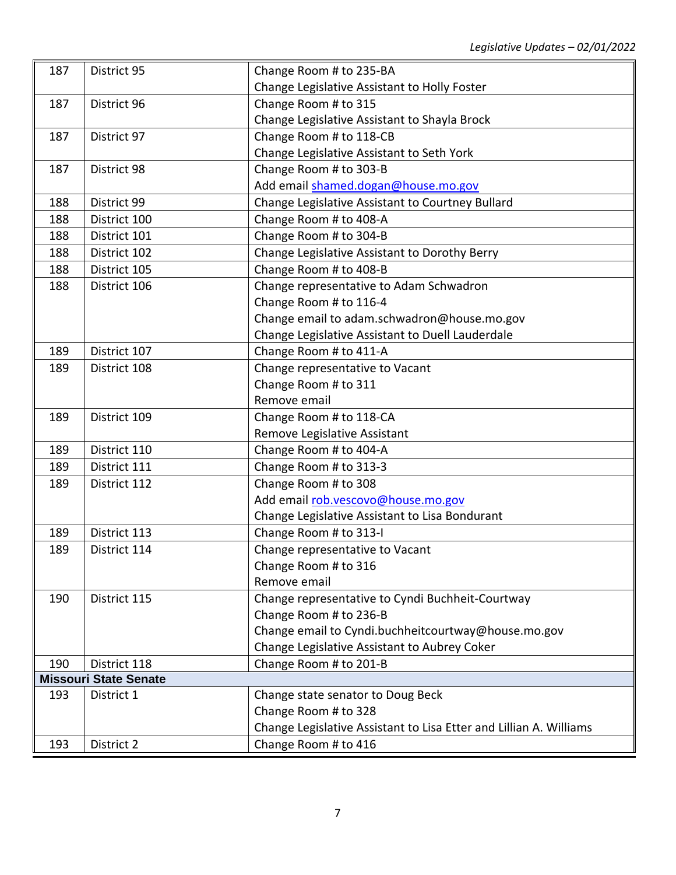| 187 | District 95                  | Change Room # to 235-BA                                            |
|-----|------------------------------|--------------------------------------------------------------------|
|     |                              | Change Legislative Assistant to Holly Foster                       |
| 187 | District 96                  | Change Room # to 315                                               |
|     |                              | Change Legislative Assistant to Shayla Brock                       |
| 187 | District 97                  | Change Room # to 118-CB                                            |
|     |                              | Change Legislative Assistant to Seth York                          |
| 187 | District 98                  | Change Room # to 303-B                                             |
|     |                              | Add email shamed.dogan@house.mo.gov                                |
| 188 | District 99                  | Change Legislative Assistant to Courtney Bullard                   |
| 188 | District 100                 | Change Room # to 408-A                                             |
| 188 | District 101                 | Change Room # to 304-B                                             |
| 188 | District 102                 | Change Legislative Assistant to Dorothy Berry                      |
| 188 | District 105                 | Change Room # to 408-B                                             |
| 188 | District 106                 | Change representative to Adam Schwadron                            |
|     |                              | Change Room # to 116-4                                             |
|     |                              | Change email to adam.schwadron@house.mo.gov                        |
|     |                              | Change Legislative Assistant to Duell Lauderdale                   |
| 189 | District 107                 | Change Room # to 411-A                                             |
| 189 | District 108                 | Change representative to Vacant                                    |
|     |                              | Change Room # to 311                                               |
|     |                              | Remove email                                                       |
| 189 | District 109                 | Change Room # to 118-CA                                            |
|     |                              | Remove Legislative Assistant                                       |
| 189 | District 110                 | Change Room # to 404-A                                             |
| 189 | District 111                 | Change Room # to 313-3                                             |
| 189 | District 112                 | Change Room # to 308                                               |
|     |                              | Add email rob.vescovo@house.mo.gov                                 |
|     |                              | Change Legislative Assistant to Lisa Bondurant                     |
| 189 | District 113                 | Change Room # to 313-I                                             |
| 189 | District 114                 | Change representative to Vacant                                    |
|     |                              | Change Room # to 316                                               |
|     |                              | Remove email                                                       |
| 190 | District 115                 | Change representative to Cyndi Buchheit-Courtway                   |
|     |                              | Change Room # to 236-B                                             |
|     |                              | Change email to Cyndi.buchheitcourtway@house.mo.gov                |
|     |                              | Change Legislative Assistant to Aubrey Coker                       |
| 190 | District 118                 | Change Room # to 201-B                                             |
|     | <b>Missouri State Senate</b> |                                                                    |
| 193 | District 1                   | Change state senator to Doug Beck                                  |
|     |                              | Change Room # to 328                                               |
|     |                              | Change Legislative Assistant to Lisa Etter and Lillian A. Williams |
| 193 | District 2                   | Change Room # to 416                                               |